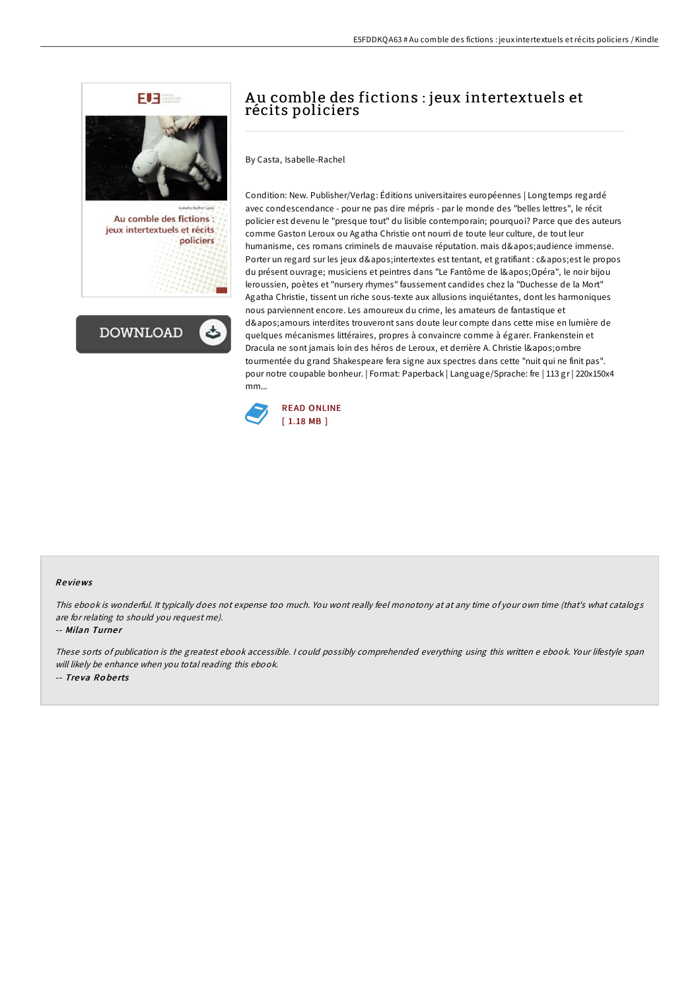



# Au comble des fictions : jeux intertextuels et récits policiers

By Casta, Isabelle-Rachel

Condition: New. Publisher/Verlag: Éditions universitaires européennes | Longtemps regardé avec condescendance - pour ne pas dire mépris - par le monde des "belles lettres", le récit policier est devenu le "presque tout" du lisible contemporain; pourquoi? Parce que des auteurs comme Gaston Leroux ou Agatha Christie ont nourri de toute leur culture, de tout leur humanisme, ces romans criminels de mauvaise réputation. mais d'audience immense. Porter un regard sur les jeux d'intertextes est tentant, et gratifiant : c' est le propos du présent ouvrage; musiciens et peintres dans "Le Fantôme de l'Opéra", le noir bijou leroussien, poètes et "nursery rhymes" faussement candides chez la "Duchesse de la Mort" Agatha Christie, tissent un riche sous-texte aux allusions inquiétantes, dont les harmoniques nous parviennent encore. Les amoureux du crime, les amateurs de fantastique et d' amours interdites trouveront sans doute leur compte dans cette mise en lumière de quelques mécanismes littéraires, propres à convaincre comme à égarer. Frankenstein et Dracula ne sont jamais loin des héros de Leroux, et derrière A. Christie l'ombre tourmentée du grand Shakespeare fera signe aux spectres dans cette "nuit qui ne finit pas". pour notre coupable bonheur. | Format: Paperback | Language/Sprache: fre | 113 gr | 220x150x4 mm...



### Re views

This ebook is wonderful. It typically does not expense too much. You wont really feel monotony at at any time of your own time (that's what catalogs are for relating to should you request me).

-- Milan Turner

These sorts of publication is the greatest ebook accessible. <sup>I</sup> could possibly comprehended everything using this written <sup>e</sup> ebook. Your lifestyle span will likely be enhance when you total reading this ebook. -- Tre va Ro be rts